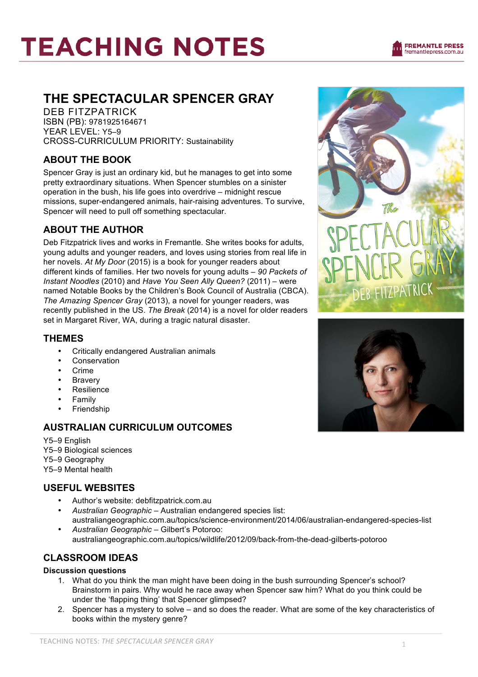# **TEACHING NOTES**

## **THE SPECTACULAR SPENCER GRAY**

DEB FITZPATRICK ISBN (PB): 9781925164671 YEAR LEVEL: Y5–9 CROSS-CURRICULUM PRIORITY: Sustainability

### **ABOUT THE BOOK**

Spencer Gray is just an ordinary kid, but he manages to get into some pretty extraordinary situations. When Spencer stumbles on a sinister operation in the bush, his life goes into overdrive – midnight rescue missions, super-endangered animals, hair-raising adventures. To survive, Spencer will need to pull off something spectacular.

### **ABOUT THE AUTHOR**

Deb Fitzpatrick lives and works in Fremantle. She writes books for adults, young adults and younger readers, and loves using stories from real life in her novels. *At My Door* (2015) is a book for younger readers about different kinds of families. Her two novels for young adults – *90 Packets of Instant Noodles* (2010) and *Have You Seen Ally Queen?* (2011) – were named Notable Books by the Children's Book Council of Australia (CBCA). *The Amazing Spencer Gray* (2013), a novel for younger readers, was recently published in the US. *The Break* (2014) is a novel for older readers set in Margaret River, WA, during a tragic natural disaster.

#### **THEMES**

- Critically endangered Australian animals
- **Conservation**
- Crime
- **Bravery**
- **Resilience**
- **Family**
- **Friendship**

## **AUSTRALIAN CURRICULUM OUTCOMES**

Y5–9 English Y5–9 Biological sciences Y5–9 Geography Y5–9 Mental health

#### **USEFUL WEBSITES**

- Author's website: debfitzpatrick.com.au
- *Australian Geographic* Australian endangered species list: australiangeographic.com.au/topics/science-environment/2014/06/australian-endangered-species-list
- *Australian Geographic* Gilbert's Potoroo: australiangeographic.com.au/topics/wildlife/2012/09/back-from-the-dead-gilberts-potoroo

## **CLASSROOM IDEAS**

#### **Discussion questions**

- 1. What do you think the man might have been doing in the bush surrounding Spencer's school? Brainstorm in pairs. Why would he race away when Spencer saw him? What do you think could be under the 'flapping thing' that Spencer glimpsed?
- 2. Spencer has a mystery to solve and so does the reader. What are some of the key characteristics of books within the mystery genre?



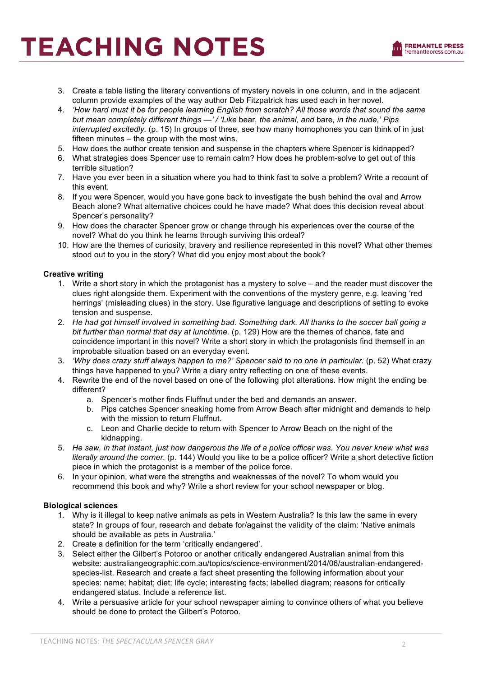## **TEACHING NOTES**

- 3. Create a table listing the literary conventions of mystery novels in one column, and in the adjacent column provide examples of the way author Deb Fitzpatrick has used each in her novel.
- 4. *'How hard must it be for people learning English from scratch? All those words that sound the same but mean completely different things —' / 'Like* bear*, the animal, and* bare*, in the nude,' Pips interrupted excitedly.* (p. 15) In groups of three, see how many homophones you can think of in just fifteen minutes – the group with the most wins.
- 5. How does the author create tension and suspense in the chapters where Spencer is kidnapped?
- 6. What strategies does Spencer use to remain calm? How does he problem-solve to get out of this terrible situation?
- 7. Have you ever been in a situation where you had to think fast to solve a problem? Write a recount of this event.
- 8. If you were Spencer, would you have gone back to investigate the bush behind the oval and Arrow Beach alone? What alternative choices could he have made? What does this decision reveal about Spencer's personality?
- 9. How does the character Spencer grow or change through his experiences over the course of the novel? What do you think he learns through surviving this ordeal?
- 10. How are the themes of curiosity, bravery and resilience represented in this novel? What other themes stood out to you in the story? What did you enjoy most about the book?

#### **Creative writing**

- 1. Write a short story in which the protagonist has a mystery to solve and the reader must discover the clues right alongside them. Experiment with the conventions of the mystery genre, e.g. leaving 'red herrings' (misleading clues) in the story. Use figurative language and descriptions of setting to evoke tension and suspense.
- 2. *He had got himself involved in something bad. Something dark. All thanks to the soccer ball going a bit further than normal that day at lunchtime.* (p. 129) How are the themes of chance, fate and coincidence important in this novel? Write a short story in which the protagonists find themself in an improbable situation based on an everyday event.
- 3. *'Why does crazy stuff always happen to me?' Spencer said to no one in particular.* (p. 52) What crazy things have happened to you? Write a diary entry reflecting on one of these events.
- 4. Rewrite the end of the novel based on one of the following plot alterations. How might the ending be different?
	- a. Spencer's mother finds Fluffnut under the bed and demands an answer.
	- b. Pips catches Spencer sneaking home from Arrow Beach after midnight and demands to help with the mission to return Fluffnut.
	- c. Leon and Charlie decide to return with Spencer to Arrow Beach on the night of the kidnapping.
- 5. *He saw, in that instant, just how dangerous the life of a police officer was. You never knew what was literally around the corner.* (p. 144) Would you like to be a police officer? Write a short detective fiction piece in which the protagonist is a member of the police force.
- 6. In your opinion, what were the strengths and weaknesses of the novel? To whom would you recommend this book and why? Write a short review for your school newspaper or blog.

#### **Biological sciences**

- 1. Why is it illegal to keep native animals as pets in Western Australia? Is this law the same in every state? In groups of four, research and debate for/against the validity of the claim: 'Native animals should be available as pets in Australia.'
- 2. Create a definition for the term 'critically endangered'.
- 3. Select either the Gilbert's Potoroo or another critically endangered Australian animal from this website: australiangeographic.com.au/topics/science-environment/2014/06/australian-endangeredspecies-list. Research and create a fact sheet presenting the following information about your species: name; habitat; diet; life cycle; interesting facts; labelled diagram; reasons for critically endangered status. Include a reference list.
- 4. Write a persuasive article for your school newspaper aiming to convince others of what you believe should be done to protect the Gilbert's Potoroo.